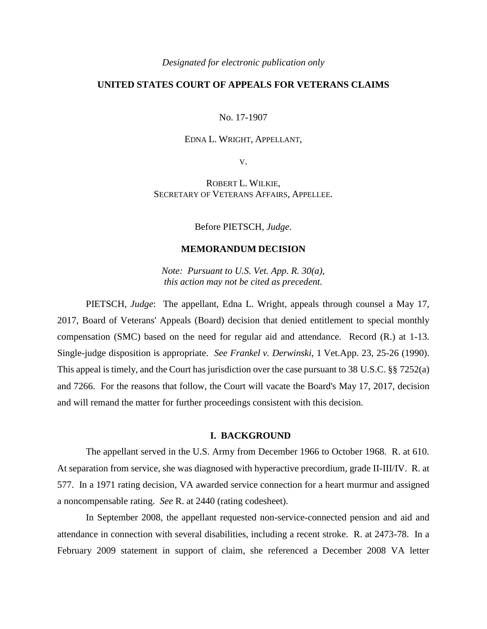*Designated for electronic publication only*

# **UNITED STATES COURT OF APPEALS FOR VETERANS CLAIMS**

No. 17-1907

#### EDNA L. WRIGHT, APPELLANT,

V.

ROBERT L. WILKIE, SECRETARY OF VETERANS AFFAIRS, APPELLEE.

Before PIETSCH, *Judge*.

## **MEMORANDUM DECISION**

*Note: Pursuant to U.S. Vet. App. R. 30(a), this action may not be cited as precedent.*

PIETSCH, *Judge*: The appellant, Edna L. Wright, appeals through counsel a May 17, 2017, Board of Veterans' Appeals (Board) decision that denied entitlement to special monthly compensation (SMC) based on the need for regular aid and attendance. Record (R.) at 1-13. Single-judge disposition is appropriate. *See Frankel v. Derwinski*, 1 Vet.App. 23, 25-26 (1990). This appeal is timely, and the Court has jurisdiction over the case pursuant to 38 U.S.C. §§ 7252(a) and 7266. For the reasons that follow, the Court will vacate the Board's May 17, 2017, decision and will remand the matter for further proceedings consistent with this decision.

### **I. BACKGROUND**

The appellant served in the U.S. Army from December 1966 to October 1968. R. at 610. At separation from service, she was diagnosed with hyperactive precordium, grade II-III/IV. R. at 577. In a 1971 rating decision, VA awarded service connection for a heart murmur and assigned a noncompensable rating. *See* R. at 2440 (rating codesheet).

In September 2008, the appellant requested non-service-connected pension and aid and attendance in connection with several disabilities, including a recent stroke. R. at 2473-78. In a February 2009 statement in support of claim, she referenced a December 2008 VA letter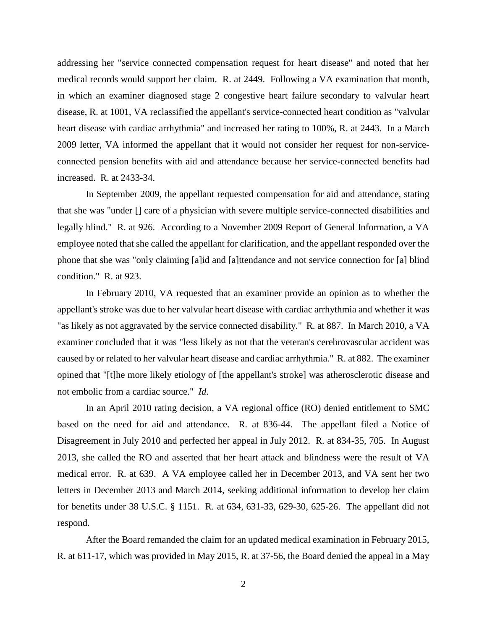addressing her "service connected compensation request for heart disease" and noted that her medical records would support her claim. R. at 2449. Following a VA examination that month, in which an examiner diagnosed stage 2 congestive heart failure secondary to valvular heart disease, R. at 1001, VA reclassified the appellant's service-connected heart condition as "valvular heart disease with cardiac arrhythmia" and increased her rating to 100%, R. at 2443. In a March 2009 letter, VA informed the appellant that it would not consider her request for non-serviceconnected pension benefits with aid and attendance because her service-connected benefits had increased. R. at 2433-34.

In September 2009, the appellant requested compensation for aid and attendance, stating that she was "under [] care of a physician with severe multiple service-connected disabilities and legally blind." R. at 926. According to a November 2009 Report of General Information, a VA employee noted that she called the appellant for clarification, and the appellant responded over the phone that she was "only claiming [a]id and [a]ttendance and not service connection for [a] blind condition." R. at 923.

In February 2010, VA requested that an examiner provide an opinion as to whether the appellant's stroke was due to her valvular heart disease with cardiac arrhythmia and whether it was "as likely as not aggravated by the service connected disability." R. at 887. In March 2010, a VA examiner concluded that it was "less likely as not that the veteran's cerebrovascular accident was caused by or related to her valvular heart disease and cardiac arrhythmia." R. at 882. The examiner opined that "[t]he more likely etiology of [the appellant's stroke] was atherosclerotic disease and not embolic from a cardiac source." *Id.*

In an April 2010 rating decision, a VA regional office (RO) denied entitlement to SMC based on the need for aid and attendance. R. at 836-44. The appellant filed a Notice of Disagreement in July 2010 and perfected her appeal in July 2012. R. at 834-35, 705. In August 2013, she called the RO and asserted that her heart attack and blindness were the result of VA medical error. R. at 639. A VA employee called her in December 2013, and VA sent her two letters in December 2013 and March 2014, seeking additional information to develop her claim for benefits under 38 U.S.C. § 1151. R. at 634, 631-33, 629-30, 625-26. The appellant did not respond.

After the Board remanded the claim for an updated medical examination in February 2015, R. at 611-17, which was provided in May 2015, R. at 37-56, the Board denied the appeal in a May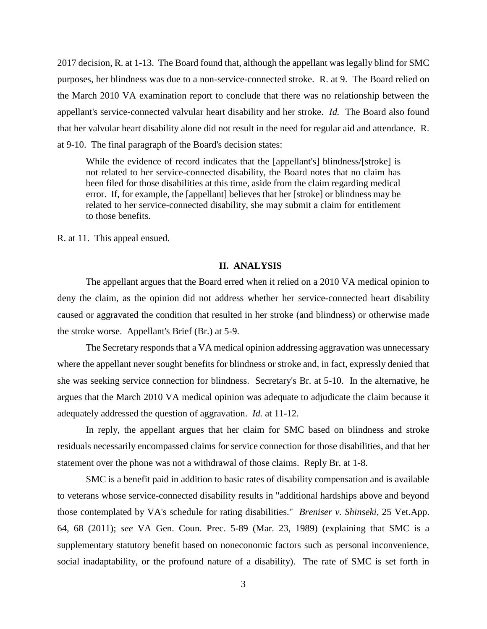2017 decision, R. at 1-13. The Board found that, although the appellant was legally blind for SMC purposes, her blindness was due to a non-service-connected stroke. R. at 9. The Board relied on the March 2010 VA examination report to conclude that there was no relationship between the appellant's service-connected valvular heart disability and her stroke. *Id.* The Board also found that her valvular heart disability alone did not result in the need for regular aid and attendance. R. at 9-10. The final paragraph of the Board's decision states:

While the evidence of record indicates that the [appellant's] blindness/[stroke] is not related to her service-connected disability, the Board notes that no claim has been filed for those disabilities at this time, aside from the claim regarding medical error. If, for example, the [appellant] believes that her [stroke] or blindness may be related to her service-connected disability, she may submit a claim for entitlement to those benefits.

R. at 11. This appeal ensued.

### **II. ANALYSIS**

The appellant argues that the Board erred when it relied on a 2010 VA medical opinion to deny the claim, as the opinion did not address whether her service-connected heart disability caused or aggravated the condition that resulted in her stroke (and blindness) or otherwise made the stroke worse. Appellant's Brief (Br.) at 5-9.

The Secretary responds that a VA medical opinion addressing aggravation was unnecessary where the appellant never sought benefits for blindness or stroke and, in fact, expressly denied that she was seeking service connection for blindness. Secretary's Br. at 5-10. In the alternative, he argues that the March 2010 VA medical opinion was adequate to adjudicate the claim because it adequately addressed the question of aggravation. *Id.* at 11-12.

In reply, the appellant argues that her claim for SMC based on blindness and stroke residuals necessarily encompassed claims for service connection for those disabilities, and that her statement over the phone was not a withdrawal of those claims. Reply Br. at 1-8.

SMC is a benefit paid in addition to basic rates of disability compensation and is available to veterans whose service-connected disability results in "additional hardships above and beyond those contemplated by VA's schedule for rating disabilities." *Breniser v. Shinseki*, 25 Vet.App. 64, 68 (2011); *see* VA Gen. Coun. Prec. 5-89 (Mar. 23, 1989) (explaining that SMC is a supplementary statutory benefit based on noneconomic factors such as personal inconvenience, social inadaptability, or the profound nature of a disability). The rate of SMC is set forth in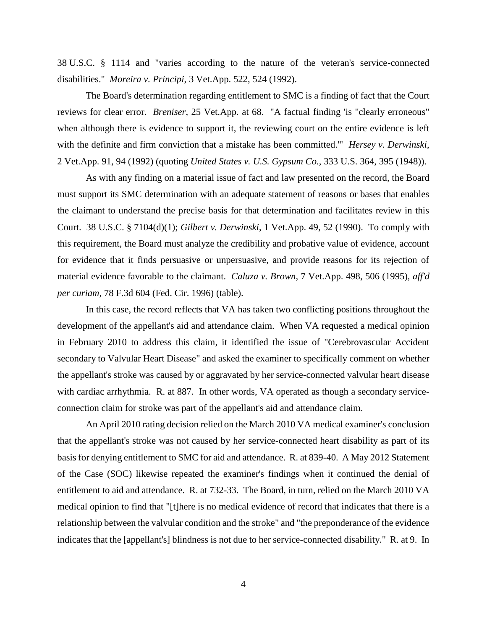38 U.S.C. § 1114 and "varies according to the nature of the veteran's service-connected disabilities." *Moreira v. Principi*, 3 Vet.App. 522, 524 (1992).

The Board's determination regarding entitlement to SMC is a finding of fact that the Court reviews for clear error. *Breniser*, 25 Vet.App. at 68. "A factual finding 'is "clearly erroneous" when although there is evidence to support it, the reviewing court on the entire evidence is left with the definite and firm conviction that a mistake has been committed.'" *Hersey v. Derwinski*, 2 Vet.App. 91, 94 (1992) (quoting *United States v. U.S. Gypsum Co.*, 333 U.S. 364, 395 (1948)).

As with any finding on a material issue of fact and law presented on the record, the Board must support its SMC determination with an adequate statement of reasons or bases that enables the claimant to understand the precise basis for that determination and facilitates review in this Court. 38 U.S.C. § 7104(d)(1); *Gilbert v. Derwinski*, 1 Vet.App. 49, 52 (1990). To comply with this requirement, the Board must analyze the credibility and probative value of evidence, account for evidence that it finds persuasive or unpersuasive, and provide reasons for its rejection of material evidence favorable to the claimant. *Caluza v. Brown*, 7 Vet.App. 498, 506 (1995), *aff'd per curiam*, 78 F.3d 604 (Fed. Cir. 1996) (table).

In this case, the record reflects that VA has taken two conflicting positions throughout the development of the appellant's aid and attendance claim. When VA requested a medical opinion in February 2010 to address this claim, it identified the issue of "Cerebrovascular Accident secondary to Valvular Heart Disease" and asked the examiner to specifically comment on whether the appellant's stroke was caused by or aggravated by her service-connected valvular heart disease with cardiac arrhythmia. R. at 887. In other words, VA operated as though a secondary serviceconnection claim for stroke was part of the appellant's aid and attendance claim.

An April 2010 rating decision relied on the March 2010 VA medical examiner's conclusion that the appellant's stroke was not caused by her service-connected heart disability as part of its basis for denying entitlement to SMC for aid and attendance. R. at 839-40. A May 2012 Statement of the Case (SOC) likewise repeated the examiner's findings when it continued the denial of entitlement to aid and attendance. R. at 732-33. The Board, in turn, relied on the March 2010 VA medical opinion to find that "[t]here is no medical evidence of record that indicates that there is a relationship between the valvular condition and the stroke" and "the preponderance of the evidence indicates that the [appellant's] blindness is not due to her service-connected disability." R. at 9. In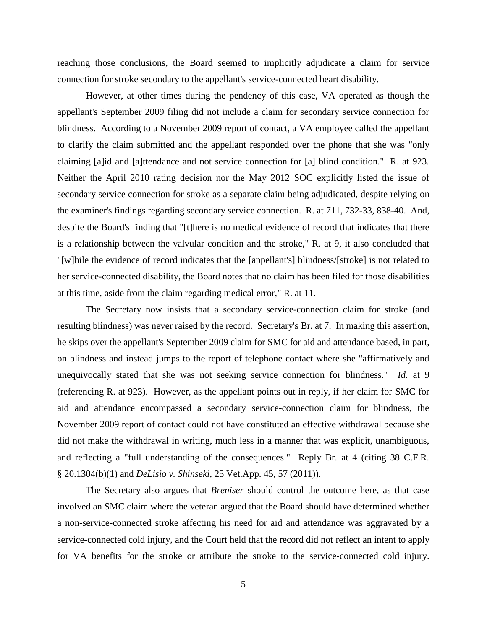reaching those conclusions, the Board seemed to implicitly adjudicate a claim for service connection for stroke secondary to the appellant's service-connected heart disability.

However, at other times during the pendency of this case, VA operated as though the appellant's September 2009 filing did not include a claim for secondary service connection for blindness. According to a November 2009 report of contact, a VA employee called the appellant to clarify the claim submitted and the appellant responded over the phone that she was "only claiming [a]id and [a]ttendance and not service connection for [a] blind condition." R. at 923. Neither the April 2010 rating decision nor the May 2012 SOC explicitly listed the issue of secondary service connection for stroke as a separate claim being adjudicated, despite relying on the examiner's findings regarding secondary service connection. R. at 711, 732-33, 838-40. And, despite the Board's finding that "[t]here is no medical evidence of record that indicates that there is a relationship between the valvular condition and the stroke," R. at 9, it also concluded that "[w]hile the evidence of record indicates that the [appellant's] blindness/[stroke] is not related to her service-connected disability, the Board notes that no claim has been filed for those disabilities at this time, aside from the claim regarding medical error," R. at 11.

The Secretary now insists that a secondary service-connection claim for stroke (and resulting blindness) was never raised by the record. Secretary's Br. at 7. In making this assertion, he skips over the appellant's September 2009 claim for SMC for aid and attendance based, in part, on blindness and instead jumps to the report of telephone contact where she "affirmatively and unequivocally stated that she was not seeking service connection for blindness." *Id.* at 9 (referencing R. at 923). However, as the appellant points out in reply, if her claim for SMC for aid and attendance encompassed a secondary service-connection claim for blindness, the November 2009 report of contact could not have constituted an effective withdrawal because she did not make the withdrawal in writing, much less in a manner that was explicit, unambiguous, and reflecting a "full understanding of the consequences." Reply Br. at 4 (citing 38 C.F.R. § 20.1304(b)(1) and *DeLisio v. Shinseki*, 25 Vet.App. 45, 57 (2011)).

The Secretary also argues that *Breniser* should control the outcome here, as that case involved an SMC claim where the veteran argued that the Board should have determined whether a non-service-connected stroke affecting his need for aid and attendance was aggravated by a service-connected cold injury, and the Court held that the record did not reflect an intent to apply for VA benefits for the stroke or attribute the stroke to the service-connected cold injury.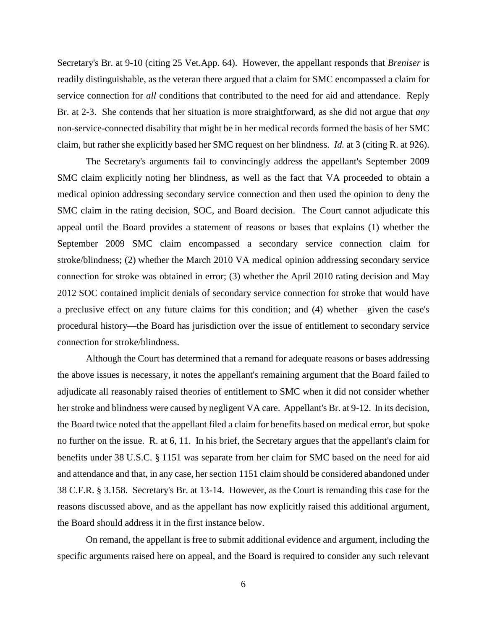Secretary's Br. at 9-10 (citing 25 Vet.App. 64). However, the appellant responds that *Breniser* is readily distinguishable, as the veteran there argued that a claim for SMC encompassed a claim for service connection for *all* conditions that contributed to the need for aid and attendance. Reply Br. at 2-3. She contends that her situation is more straightforward, as she did not argue that *any* non-service-connected disability that might be in her medical records formed the basis of her SMC claim, but rather she explicitly based her SMC request on her blindness. *Id.* at 3 (citing R. at 926).

The Secretary's arguments fail to convincingly address the appellant's September 2009 SMC claim explicitly noting her blindness, as well as the fact that VA proceeded to obtain a medical opinion addressing secondary service connection and then used the opinion to deny the SMC claim in the rating decision, SOC, and Board decision. The Court cannot adjudicate this appeal until the Board provides a statement of reasons or bases that explains (1) whether the September 2009 SMC claim encompassed a secondary service connection claim for stroke/blindness; (2) whether the March 2010 VA medical opinion addressing secondary service connection for stroke was obtained in error; (3) whether the April 2010 rating decision and May 2012 SOC contained implicit denials of secondary service connection for stroke that would have a preclusive effect on any future claims for this condition; and (4) whether—given the case's procedural history—the Board has jurisdiction over the issue of entitlement to secondary service connection for stroke/blindness.

Although the Court has determined that a remand for adequate reasons or bases addressing the above issues is necessary, it notes the appellant's remaining argument that the Board failed to adjudicate all reasonably raised theories of entitlement to SMC when it did not consider whether her stroke and blindness were caused by negligent VA care. Appellant's Br. at 9-12. In its decision, the Board twice noted that the appellant filed a claim for benefits based on medical error, but spoke no further on the issue. R. at 6, 11. In his brief, the Secretary argues that the appellant's claim for benefits under 38 U.S.C. § 1151 was separate from her claim for SMC based on the need for aid and attendance and that, in any case, her section 1151 claim should be considered abandoned under 38 C.F.R. § 3.158. Secretary's Br. at 13-14. However, as the Court is remanding this case for the reasons discussed above, and as the appellant has now explicitly raised this additional argument, the Board should address it in the first instance below.

On remand, the appellant is free to submit additional evidence and argument, including the specific arguments raised here on appeal, and the Board is required to consider any such relevant